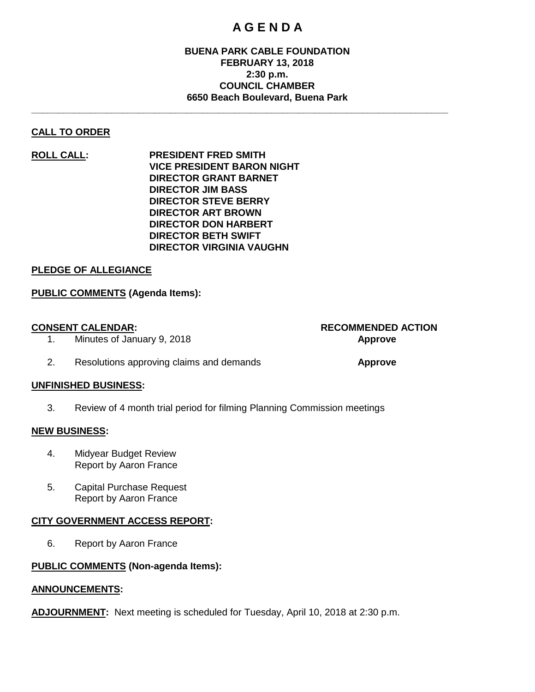## **A G E N D A**

#### **BUENA PARK CABLE FOUNDATION FEBRUARY 13, 2018 2:30 p.m. COUNCIL CHAMBER 6650 Beach Boulevard, Buena Park**

**\_\_\_\_\_\_\_\_\_\_\_\_\_\_\_\_\_\_\_\_\_\_\_\_\_\_\_\_\_\_\_\_\_\_\_\_\_\_\_\_\_\_\_\_\_\_\_\_\_\_\_\_\_\_\_\_\_\_\_\_\_\_\_\_\_\_\_\_\_\_\_\_\_\_\_\_\_\_**

### **CALL TO ORDER**

**ROLL CALL: PRESIDENT FRED SMITH VICE PRESIDENT BARON NIGHT DIRECTOR GRANT BARNET DIRECTOR JIM BASS DIRECTOR STEVE BERRY DIRECTOR ART BROWN DIRECTOR DON HARBERT DIRECTOR BETH SWIFT DIRECTOR VIRGINIA VAUGHN**

#### **PLEDGE OF ALLEGIANCE**

#### **PUBLIC COMMENTS (Agenda Items):**

# **CONSENT CALENDAR: RECOMMENDED ACTION**

- 1. Minutes of January 9, 2018 **Approve**
- 2. Resolutions approving claims and demands **Approve**

#### **UNFINISHED BUSINESS:**

3. Review of 4 month trial period for filming Planning Commission meetings

#### **NEW BUSINESS:**

- 4. Midyear Budget Review Report by Aaron France
- 5. Capital Purchase Request Report by Aaron France

#### **CITY GOVERNMENT ACCESS REPORT:**

6. Report by Aaron France

#### **PUBLIC COMMENTS (Non-agenda Items):**

#### **ANNOUNCEMENTS:**

**ADJOURNMENT:** Next meeting is scheduled for Tuesday, April 10, 2018 at 2:30 p.m.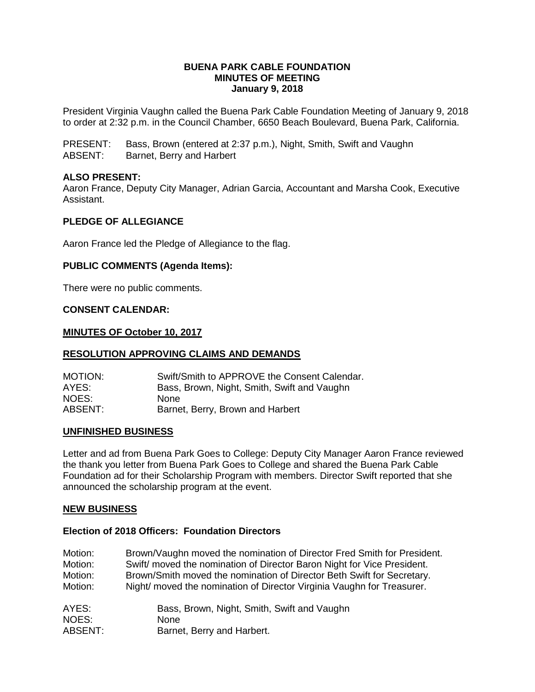#### **BUENA PARK CABLE FOUNDATION MINUTES OF MEETING January 9, 2018**

President Virginia Vaughn called the Buena Park Cable Foundation Meeting of January 9, 2018 to order at 2:32 p.m. in the Council Chamber, 6650 Beach Boulevard, Buena Park, California.

PRESENT: Bass, Brown (entered at 2:37 p.m.), Night, Smith, Swift and Vaughn ABSENT: Barnet, Berry and Harbert

#### **ALSO PRESENT:**

Aaron France, Deputy City Manager, Adrian Garcia, Accountant and Marsha Cook, Executive Assistant.

#### **PLEDGE OF ALLEGIANCE**

Aaron France led the Pledge of Allegiance to the flag.

#### **PUBLIC COMMENTS (Agenda Items):**

There were no public comments.

#### **CONSENT CALENDAR:**

#### **MINUTES OF October 10, 2017**

#### **RESOLUTION APPROVING CLAIMS AND DEMANDS**

| <b>MOTION:</b> | Swift/Smith to APPROVE the Consent Calendar. |
|----------------|----------------------------------------------|
| AYES:          | Bass, Brown, Night, Smith, Swift and Vaughn  |
| NOES:          | <b>None</b>                                  |
| ABSENT:        | Barnet, Berry, Brown and Harbert             |

#### **UNFINISHED BUSINESS**

Letter and ad from Buena Park Goes to College: Deputy City Manager Aaron France reviewed the thank you letter from Buena Park Goes to College and shared the Buena Park Cable Foundation ad for their Scholarship Program with members. Director Swift reported that she announced the scholarship program at the event.

#### **NEW BUSINESS**

#### **Election of 2018 Officers: Foundation Directors**

| Motion: | Brown/Vaughn moved the nomination of Director Fred Smith for President. |
|---------|-------------------------------------------------------------------------|
| Motion: | Swift/ moved the nomination of Director Baron Night for Vice President. |
| Motion: | Brown/Smith moved the nomination of Director Beth Swift for Secretary.  |
| Motion: | Night/ moved the nomination of Director Virginia Vaughn for Treasurer.  |
| AYES:   | Bass, Brown, Night, Smith, Swift and Vaughn                             |
| NOES:   | <b>None</b>                                                             |
| ABSENT: | Barnet, Berry and Harbert.                                              |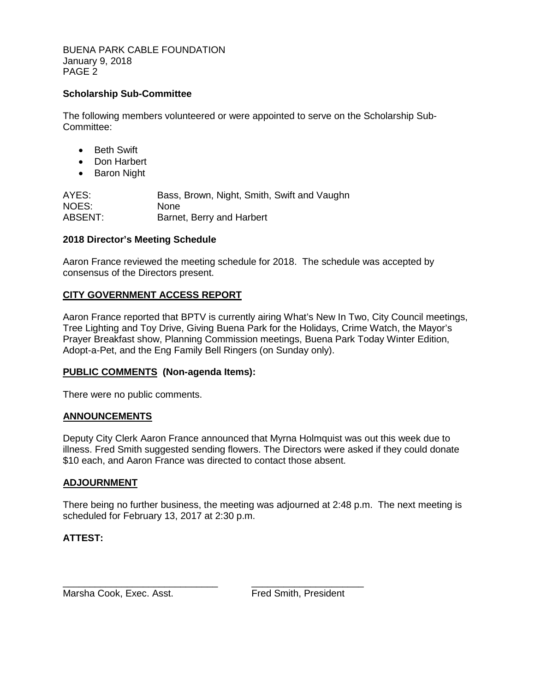BUENA PARK CABLE FOUNDATION January 9, 2018 PAGE 2

#### **Scholarship Sub-Committee**

The following members volunteered or were appointed to serve on the Scholarship Sub-Committee:

- Beth Swift
- Don Harbert
- Baron Night

AYES: Bass, Brown, Night, Smith, Swift and Vaughn NOES: None ABSENT: Barnet, Berry and Harbert

#### **2018 Director's Meeting Schedule**

Aaron France reviewed the meeting schedule for 2018. The schedule was accepted by consensus of the Directors present.

#### **CITY GOVERNMENT ACCESS REPORT**

Aaron France reported that BPTV is currently airing What's New In Two, City Council meetings, Tree Lighting and Toy Drive, Giving Buena Park for the Holidays, Crime Watch, the Mayor's Prayer Breakfast show, Planning Commission meetings, Buena Park Today Winter Edition, Adopt-a-Pet, and the Eng Family Bell Ringers (on Sunday only).

#### **PUBLIC COMMENTS (Non-agenda Items):**

There were no public comments.

#### **ANNOUNCEMENTS**

Deputy City Clerk Aaron France announced that Myrna Holmquist was out this week due to illness. Fred Smith suggested sending flowers. The Directors were asked if they could donate \$10 each, and Aaron France was directed to contact those absent.

#### **ADJOURNMENT**

There being no further business, the meeting was adjourned at 2:48 p.m. The next meeting is scheduled for February 13, 2017 at 2:30 p.m.

#### **ATTEST:**

Marsha Cook, Exec. Asst. The Smith, President

\_\_\_\_\_\_\_\_\_\_\_\_\_\_\_\_\_\_\_\_\_\_\_\_\_\_\_\_\_ \_\_\_\_\_\_\_\_\_\_\_\_\_\_\_\_\_\_\_\_\_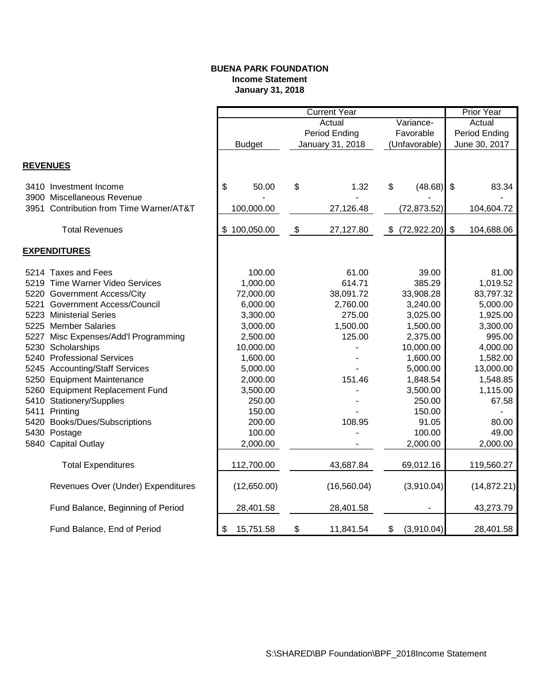#### **BUENA PARK FOUNDATION Income Statement January 31, 2018**

|                                         |                                    | <b>Current Year</b> |              |    |                  |                           | <b>Prior Year</b> |               |               |  |
|-----------------------------------------|------------------------------------|---------------------|--------------|----|------------------|---------------------------|-------------------|---------------|---------------|--|
|                                         |                                    | Actual<br>Variance- |              |    |                  | Actual                    |                   |               |               |  |
|                                         |                                    |                     |              |    | Period Ending    |                           | Favorable         |               | Period Ending |  |
|                                         |                                    | <b>Budget</b>       |              |    | January 31, 2018 | (Unfavorable)             |                   | June 30, 2017 |               |  |
|                                         |                                    |                     |              |    |                  |                           |                   |               |               |  |
| <b>REVENUES</b>                         |                                    |                     |              |    |                  |                           |                   |               |               |  |
| 3410 Investment Income                  |                                    | \$                  | 50.00        | \$ | 1.32             | \$                        | $(48.68)$ \$      |               | 83.34         |  |
| 3900 Miscellaneous Revenue              |                                    |                     |              |    |                  |                           |                   |               |               |  |
| 3951 Contribution from Time Warner/AT&T |                                    |                     | 100,000.00   |    | 27,126.48        |                           | (72, 873.52)      |               | 104,604.72    |  |
| <b>Total Revenues</b>                   |                                    |                     | \$100,050.00 | \$ | 27,127.80        | $\boldsymbol{\mathsf{S}}$ | (72, 922.20)      | \$            | 104,688.06    |  |
|                                         |                                    |                     |              |    |                  |                           |                   |               |               |  |
| <b>EXPENDITURES</b>                     |                                    |                     |              |    |                  |                           |                   |               |               |  |
| 5214 Taxes and Fees                     |                                    |                     | 100.00       |    | 61.00            |                           | 39.00             |               | 81.00         |  |
| 5219 Time Warner Video Services         |                                    |                     | 1,000.00     |    | 614.71           |                           | 385.29            |               | 1,019.52      |  |
| 5220 Government Access/City             |                                    |                     | 72,000.00    |    | 38,091.72        |                           | 33,908.28         |               | 83,797.32     |  |
| 5221 Government Access/Council          |                                    |                     | 6,000.00     |    | 2,760.00         |                           | 3,240.00          |               | 5,000.00      |  |
| 5223 Ministerial Series                 |                                    |                     | 3,300.00     |    | 275.00           |                           | 3,025.00          |               | 1,925.00      |  |
| 5225 Member Salaries                    |                                    |                     | 3,000.00     |    | 1,500.00         |                           | 1,500.00          |               | 3,300.00      |  |
| 5227 Misc Expenses/Add'l Programming    |                                    |                     | 2,500.00     |    | 125.00           |                           | 2,375.00          |               | 995.00        |  |
| 5230 Scholarships                       |                                    |                     | 10,000.00    |    |                  |                           | 10,000.00         |               | 4,000.00      |  |
| 5240 Professional Services              |                                    |                     | 1,600.00     |    |                  |                           | 1,600.00          |               | 1,582.00      |  |
| 5245 Accounting/Staff Services          |                                    |                     | 5,000.00     |    |                  |                           | 5,000.00          |               | 13,000.00     |  |
| 5250 Equipment Maintenance              |                                    |                     | 2,000.00     |    | 151.46           |                           | 1,848.54          |               | 1,548.85      |  |
| 5260 Equipment Replacement Fund         |                                    |                     | 3,500.00     |    |                  |                           | 3,500.00          |               | 1,115.00      |  |
| 5410 Stationery/Supplies                |                                    |                     | 250.00       |    |                  |                           | 250.00            |               | 67.58         |  |
| 5411 Printing                           |                                    |                     | 150.00       |    |                  |                           | 150.00            |               |               |  |
| 5420 Books/Dues/Subscriptions           |                                    |                     | 200.00       |    | 108.95           |                           | 91.05             |               | 80.00         |  |
| 5430 Postage                            |                                    |                     | 100.00       |    |                  |                           | 100.00            |               | 49.00         |  |
| 5840 Capital Outlay                     |                                    |                     | 2,000.00     |    |                  |                           | 2,000.00          |               | 2,000.00      |  |
| <b>Total Expenditures</b>               |                                    |                     | 112,700.00   |    | 43,687.84        |                           | 69,012.16         |               | 119,560.27    |  |
|                                         | Revenues Over (Under) Expenditures |                     | (12,650.00)  |    | (16, 560.04)     |                           | (3,910.04)        |               | (14, 872.21)  |  |
|                                         | Fund Balance, Beginning of Period  |                     | 28,401.58    |    | 28,401.58        |                           |                   |               | 43,273.79     |  |
| Fund Balance, End of Period             |                                    | \$                  | 15,751.58    | \$ | 11,841.54        | \$                        | (3,910.04)        |               | 28,401.58     |  |